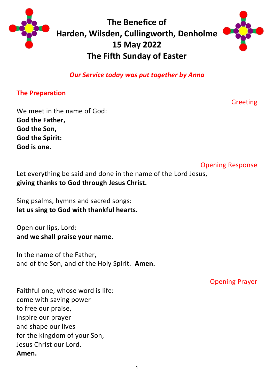

# **The Benefice of Harden, Wilsden, Cullingworth, Denholme 15 May 2022 The Fifth Sunday of Easter**



*Our Service today was put together by Anna*

#### **The Preparation**

Greeting

We meet in the name of God: **God the Father, God the Son, God the Spirit: God is one.**

Opening Response

Let everything be said and done in the name of the Lord Jesus, **giving thanks to God through Jesus Christ.**

Sing psalms, hymns and sacred songs: **let us sing to God with thankful hearts.**

Open our lips, Lord: **and we shall praise your name.**

In the name of the Father, and of the Son, and of the Holy Spirit. **Amen.**

Opening Prayer

Faithful one, whose word is life: come with saving power to free our praise, inspire our prayer and shape our lives for the kingdom of your Son, Jesus Christ our Lord. **Amen.**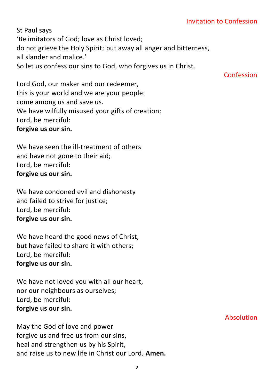St Paul says 'Be imitators of God; love as Christ loved; do not grieve the Holy Spirit; put away all anger and bitterness, all slander and malice.' So let us confess our sins to God, who forgives us in Christ.

Confession

Lord God, our maker and our redeemer, this is your world and we are your people: come among us and save us. We have wilfully misused your gifts of creation; Lord, be merciful: **forgive us our sin.**

We have seen the ill-treatment of others and have not gone to their aid; Lord, be merciful: **forgive us our sin.**

We have condoned evil and dishonesty and failed to strive for justice: Lord, be merciful: **forgive us our sin.**

We have heard the good news of Christ, but have failed to share it with others; Lord, be merciful: **forgive us our sin.**

We have not loved you with all our heart, nor our neighbours as ourselves; Lord, be merciful: **forgive us our sin.**

May the God of love and power forgive us and free us from our sins, heal and strengthen us by his Spirit, and raise us to new life in Christ our Lord. **Amen.** Absolution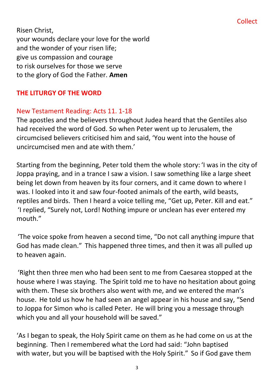Risen Christ, your wounds declare your love for the world and the wonder of your risen life; give us compassion and courage to risk ourselves for those we serve to the glory of God the Father. **Amen**

## **THE LITURGY OF THE WORD**

# New Testament Reading: Acts 11. 1-18

The apostles and the believers throughout Judea heard that the Gentiles also had received the word of God. So when Peter went up to Jerusalem, the circumcised believers criticised him and said, 'You went into the house of uncircumcised men and ate with them.'

Starting from the beginning, Peter told them the whole story: 'I was in the city of Joppa praying, and in a trance I saw a vision. I saw something like a large sheet being let down from heaven by its four corners, and it came down to where I was. I looked into it and saw four-footed animals of the earth, wild beasts, reptiles and birds. Then I heard a voice telling me, "Get up, Peter. Kill and eat." 'I replied, "Surely not, Lord! Nothing impure or unclean has ever entered my mouth."

'The voice spoke from heaven a second time, "Do not call anything impure that God has made clean." This happened three times, and then it was all pulled up to heaven again.

'Right then three men who had been sent to me from Caesarea stopped at the house where I was staying. The Spirit told me to have no hesitation about going with them. These six brothers also went with me, and we entered the man's house. He told us how he had seen an angel appear in his house and say, "Send to Joppa for Simon who is called Peter. He will bring you a message through which you and all your household will be saved."

'As I began to speak, the Holy Spirit came on them as he had come on us at the beginning. Then I remembered what the Lord had said: "John baptised with water, but you will be baptised with the Holy Spirit." So if God gave them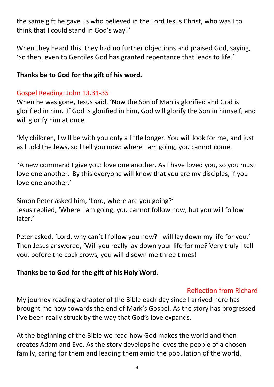the same gift he gave us who believed in the Lord Jesus Christ, who was I to think that I could stand in God's way?'

When they heard this, they had no further objections and praised God, saying, 'So then, even to Gentiles God has granted repentance that leads to life.'

#### **Thanks be to God for the gift of his word.**

#### Gospel Reading: John 13.31-35

When he was gone, Jesus said, 'Now the Son of Man is glorified and God is glorified in him. If God is glorified in him, God will glorify the Son in himself, and will glorify him at once.

'My children, I will be with you only a little longer. You will look for me, and just as I told the Jews, so I tell you now: where I am going, you cannot come.

'A new command I give you: love one another. As I have loved you, so you must love one another. By this everyone will know that you are my disciples, if you love one another.'

Simon Peter asked him, 'Lord, where are you going?' Jesus replied, 'Where I am going, you cannot follow now, but you will follow later.'

Peter asked, 'Lord, why can't I follow you now? I will lay down my life for you.' Then Jesus answered, 'Will you really lay down your life for me? Very truly I tell you, before the cock crows, you will disown me three times!

#### **Thanks be to God for the gift of his Holy Word.**

#### Reflection from Richard

My journey reading a chapter of the Bible each day since I arrived here has brought me now towards the end of Mark's Gospel. As the story has progressed I've been really struck by the way that God's love expands.

At the beginning of the Bible we read how God makes the world and then creates Adam and Eve. As the story develops he loves the people of a chosen family, caring for them and leading them amid the population of the world.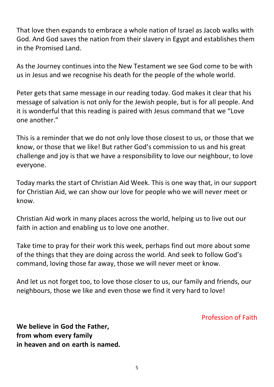That love then expands to embrace a whole nation of Israel as Jacob walks with God. And God saves the nation from their slavery in Egypt and establishes them in the Promised Land.

As the Journey continues into the New Testament we see God come to be with us in Jesus and we recognise his death for the people of the whole world.

Peter gets that same message in our reading today. God makes it clear that his message of salvation is not only for the Jewish people, but is for all people. And it is wonderful that this reading is paired with Jesus command that we "Love one another."

This is a reminder that we do not only love those closest to us, or those that we know, or those that we like! But rather God's commission to us and his great challenge and joy is that we have a responsibility to love our neighbour, to love everyone.

Today marks the start of Christian Aid Week. This is one way that, in our support for Christian Aid, we can show our love for people who we will never meet or know.

Christian Aid work in many places across the world, helping us to live out our faith in action and enabling us to love one another.

Take time to pray for their work this week, perhaps find out more about some of the things that they are doing across the world. And seek to follow God's command, loving those far away, those we will never meet or know.

And let us not forget too, to love those closer to us, our family and friends, our neighbours, those we like and even those we find it very hard to love!

#### Profession of Faith

**We believe in God the Father, from whom every family in heaven and on earth is named.**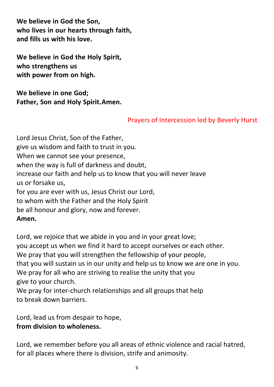**We believe in God the Son, who lives in our hearts through faith, and fills us with his love.**

**We believe in God the Holy Spirit, who strengthens us with power from on high.**

**We believe in one God; Father, Son and Holy Spirit. Amen.**

### Prayers of Intercession led by Beverly Hurst

Lord Jesus Christ, Son of the Father, give us wisdom and faith to trust in you. When we cannot see your presence, when the way is full of darkness and doubt, increase our faith and help us to know that you will never leave us or forsake us, for you are ever with us, Jesus Christ our Lord, to whom with the Father and the Holy Spirit be all honour and glory, now and forever. **Amen.**

Lord, we rejoice that we abide in you and in your great love; you accept us when we find it hard to accept ourselves or each other. We pray that you will strengthen the fellowship of your people, that you will sustain us in our unity and help us to know we are one in you. We pray for all who are striving to realise the unity that you give to your church.

We pray for inter-church relationships and all groups that help to break down barriers.

Lord, lead us from despair to hope, **from division to wholeness.**

Lord, we remember before you all areas of ethnic violence and racial hatred, for all places where there is division, strife and animosity.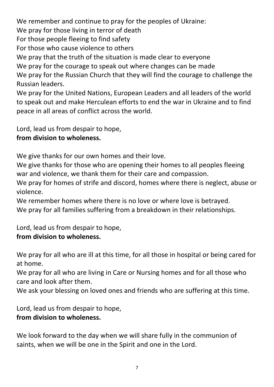We remember and continue to pray for the peoples of Ukraine:

We pray for those living in terror of death

For those people fleeing to find safety

For those who cause violence to others

We pray that the truth of the situation is made clear to everyone

We pray for the courage to speak out where changes can be made

We pray for the Russian Church that they will find the courage to challenge the Russian leaders.

We pray for the United Nations, European Leaders and all leaders of the world to speak out and make Herculean efforts to end the war in Ukraine and to find peace in all areas of conflict across the world.

Lord, lead us from despair to hope, **from division to wholeness.**

We give thanks for our own homes and their love.

We give thanks for those who are opening their homes to all peoples fleeing war and violence, we thank them for their care and compassion.

We pray for homes of strife and discord, homes where there is neglect, abuse or violence.

We remember homes where there is no love or where love is betrayed. We pray for all families suffering from a breakdown in their relationships.

Lord, lead us from despair to hope,

# **from division to wholeness.**

We pray for all who are ill at this time, for all those in hospital or being cared for at home.

We pray for all who are living in Care or Nursing homes and for all those who care and look after them.

We ask your blessing on loved ones and friends who are suffering at this time.

Lord, lead us from despair to hope,

# **from division to wholeness.**

We look forward to the day when we will share fully in the communion of saints, when we will be one in the Spirit and one in the Lord.